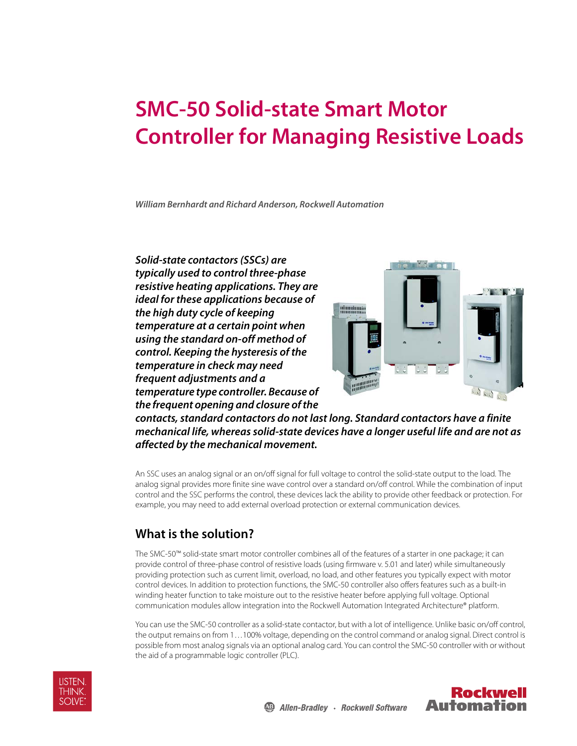# **SMC-50 Solid-state Smart Motor Controller for Managing Resistive Loads**

**William Bernhardt and Richard Anderson, Rockwell Automation**

**Solid-state contactors (SSCs) are typically used to control three-phase resistive heating applications. They are ideal for these applications because of the high duty cycle of keeping temperature at a certain point when using the standard on-off method of control. Keeping the hysteresis of the temperature in check may need frequent adjustments and a temperature type controller. Because of the frequent opening and closure of the** 



**contacts, standard contactors do not last long. Standard contactors have a finite mechanical life, whereas solid-state devices have a longer useful life and are not as affected by the mechanical movement.** 

An SSC uses an analog signal or an on/off signal for full voltage to control the solid-state output to the load. The analog signal provides more finite sine wave control over a standard on/off control. While the combination of input control and the SSC performs the control, these devices lack the ability to provide other feedback or protection. For example, you may need to add external overload protection or external communication devices.

## **What is the solution?**

The SMC-50™ solid-state smart motor controller combines all of the features of a starter in one package; it can provide control of three-phase control of resistive loads (using firmware v. 5.01 and later) while simultaneously providing protection such as current limit, overload, no load, and other features you typically expect with motor control devices. In addition to protection functions, the SMC-50 controller also offers features such as a built-in winding heater function to take moisture out to the resistive heater before applying full voltage. Optional communication modules allow integration into the Rockwell Automation Integrated Architecture® platform.

You can use the SMC-50 controller as a solid-state contactor, but with a lot of intelligence. Unlike basic on/off control, the output remains on from 1…100% voltage, depending on the control command or analog signal. Direct control is possible from most analog signals via an optional analog card. You can control the SMC-50 controller with or without the aid of a programmable logic controller (PLC).



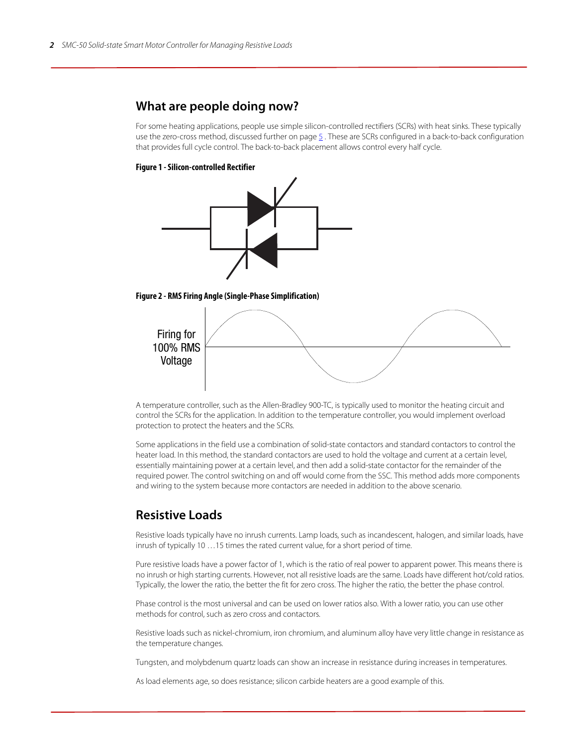## **What are people doing now?**

For some heating applications, people use simple silicon-controlled rectifiers (SCRs) with heat sinks. These typically use the zero-cross method, discussed further on [page](#page-4-0)  $\frac{5}{2}$ . These are SCRs configured in a back-to-back configuration that provides full cycle control. The back-to-back placement allows control every half cycle.

#### **Figure 1 - Silicon-controlled Rectifier**







A temperature controller, such as the Allen-Bradley 900-TC, is typically used to monitor the heating circuit and control the SCRs for the application. In addition to the temperature controller, you would implement overload protection to protect the heaters and the SCRs.

Some applications in the field use a combination of solid-state contactors and standard contactors to control the heater load. In this method, the standard contactors are used to hold the voltage and current at a certain level, essentially maintaining power at a certain level, and then add a solid-state contactor for the remainder of the required power. The control switching on and off would come from the SSC. This method adds more components and wiring to the system because more contactors are needed in addition to the above scenario.

## **Resistive Loads**

Resistive loads typically have no inrush currents. Lamp loads, such as incandescent, halogen, and similar loads, have inrush of typically 10 …15 times the rated current value, for a short period of time.

Pure resistive loads have a power factor of 1, which is the ratio of real power to apparent power. This means there is no inrush or high starting currents. However, not all resistive loads are the same. Loads have different hot/cold ratios. Typically, the lower the ratio, the better the fit for zero cross. The higher the ratio, the better the phase control.

Phase control is the most universal and can be used on lower ratios also. With a lower ratio, you can use other methods for control, such as zero cross and contactors.

Resistive loads such as nickel-chromium, iron chromium, and aluminum alloy have very little change in resistance as the temperature changes.

Tungsten, and molybdenum quartz loads can show an increase in resistance during increases in temperatures.

As load elements age, so does resistance; silicon carbide heaters are a good example of this.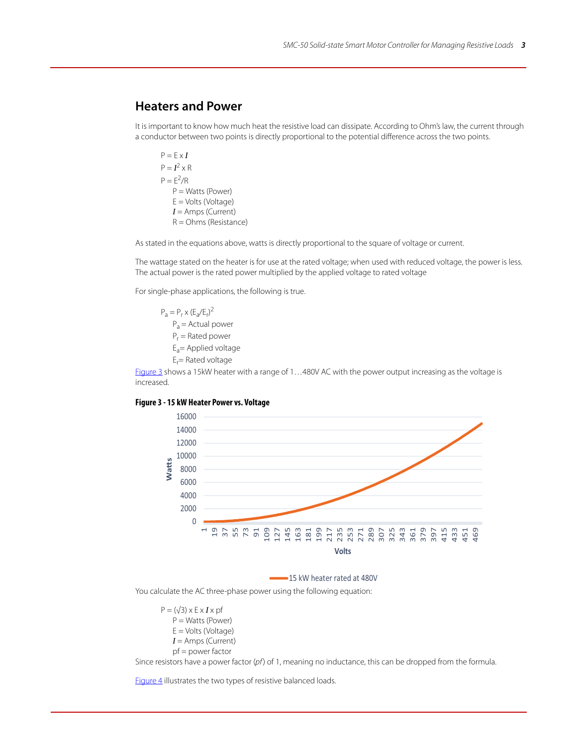## **Heaters and Power**

It is important to know how much heat the resistive load can dissipate. According to Ohm's law, the current through a conductor between two points is directly proportional to the potential difference across the two points.

 $P = F \times I$  $P = I^2 \times R$  $P = E^2/R$ P = Watts (Power) E = Volts (Voltage) *I* = Amps (Current) R = Ohms (Resistance)

As stated in the equations above, watts is directly proportional to the square of voltage or current.

The wattage stated on the heater is for use at the rated voltage; when used with reduced voltage, the power is less. The actual power is the rated power multiplied by the applied voltage to rated voltage

For single-phase applications, the following is true.

 $P_a = P_r \times (E_a/E_r)^2$  $P_a$  = Actual power P<sub>r</sub> = Rated power  $E_a$ = Applied voltage E<sub>r</sub>= Rated voltage

[Figure 3](#page-2-0) shows a 15kW heater with a range of 1...480V AC with the power output increasing as the voltage is increased.

#### <span id="page-2-0"></span>**Figure 3 - 15 kW Heater Power vs. Voltage**



15 kW heater rated at 480V

You calculate the AC three-phase power using the following equation:

 $P = (\sqrt{3}) \times E \times I \times p$ f P = Watts (Power) E = Volts (Voltage) *I* = Amps (Current) pf = power factor

Since resistors have a power factor  $(pf)$  of 1, meaning no inductance, this can be dropped from the formula.

[Figure 4](#page-3-0) illustrates the two types of resistive balanced loads.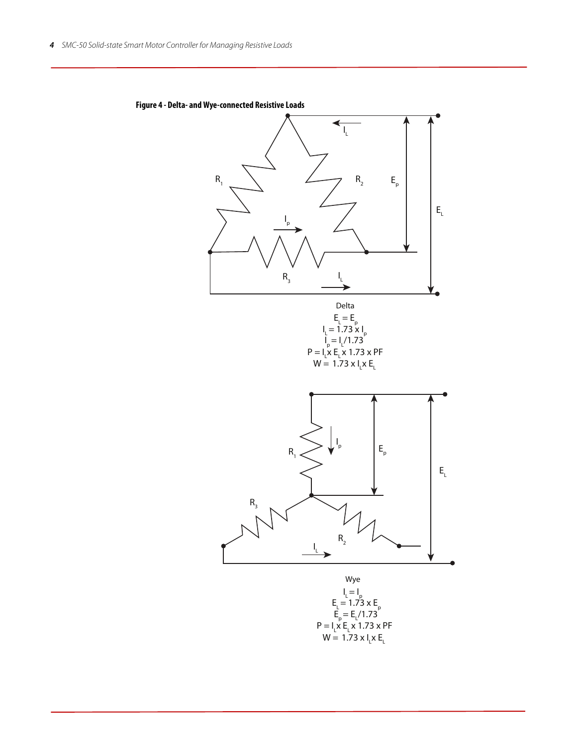

<span id="page-3-0"></span>**Figure 4 - Delta- and Wye-connected Resistive Loads**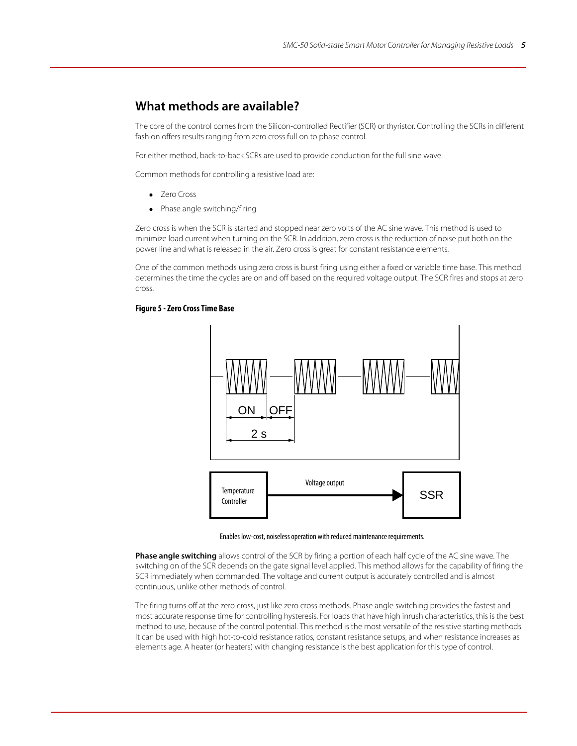## **What methods are available?**

The core of the control comes from the Silicon-controlled Rectifier (SCR) or thyristor. Controlling the SCRs in different fashion offers results ranging from zero cross full on to phase control.

For either method, back-to-back SCRs are used to provide conduction for the full sine wave.

Common methods for controlling a resistive load are:

- <span id="page-4-0"></span>• **Zero Cross**
- Phase angle switching/firing

Zero cross is when the SCR is started and stopped near zero volts of the AC sine wave. This method is used to minimize load current when turning on the SCR. In addition, zero cross is the reduction of noise put both on the power line and what is released in the air. Zero cross is great for constant resistance elements.

One of the common methods using zero cross is burst firing using either a fixed or variable time base. This method determines the time the cycles are on and off based on the required voltage output. The SCR fires and stops at zero cross.

#### **Figure 5 - Zero Cross Time Base**



Enables low-cost, noiseless operation with reduced maintenance requirements.

**Phase angle switching** allows control of the SCR by firing a portion of each half cycle of the AC sine wave. The switching on of the SCR depends on the gate signal level applied. This method allows for the capability of firing the SCR immediately when commanded. The voltage and current output is accurately controlled and is almost continuous, unlike other methods of control.

The firing turns off at the zero cross, just like zero cross methods. Phase angle switching provides the fastest and most accurate response time for controlling hysteresis. For loads that have high inrush characteristics, this is the best method to use, because of the control potential. This method is the most versatile of the resistive starting methods. It can be used with high hot-to-cold resistance ratios, constant resistance setups, and when resistance increases as elements age. A heater (or heaters) with changing resistance is the best application for this type of control.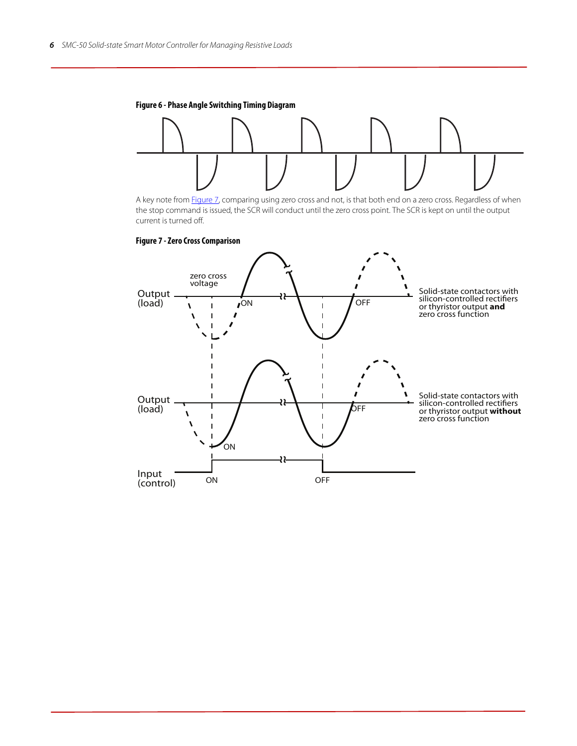<span id="page-5-1"></span>



A key note from [Figure 7](#page-5-0), comparing using zero cross and not, is that both end on a zero cross. Regardless of when the stop command is issued, the SCR will conduct until the zero cross point. The SCR is kept on until the output current is turned off.

<span id="page-5-0"></span>

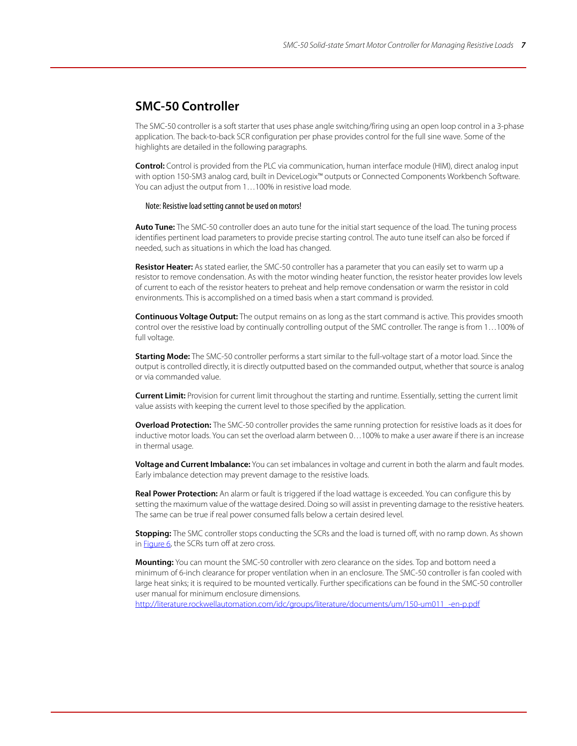## **SMC-50 Controller**

The SMC-50 controller is a soft starter that uses phase angle switching/firing using an open loop control in a 3-phase application. The back-to-back SCR configuration per phase provides control for the full sine wave. Some of the highlights are detailed in the following paragraphs.

**Control:** Control is provided from the PLC via communication, human interface module (HIM), direct analog input with option 150-SM3 analog card, built in DeviceLogix™ outputs or Connected Components Workbench Software. You can adjust the output from 1…100% in resistive load mode.

#### Note: Resistive load setting cannot be used on motors!

**Auto Tune:** The SMC-50 controller does an auto tune for the initial start sequence of the load. The tuning process identifies pertinent load parameters to provide precise starting control. The auto tune itself can also be forced if needed, such as situations in which the load has changed.

**Resistor Heater:** As stated earlier, the SMC-50 controller has a parameter that you can easily set to warm up a resistor to remove condensation. As with the motor winding heater function, the resistor heater provides low levels of current to each of the resistor heaters to preheat and help remove condensation or warm the resistor in cold environments. This is accomplished on a timed basis when a start command is provided.

**Continuous Voltage Output:** The output remains on as long as the start command is active. This provides smooth control over the resistive load by continually controlling output of the SMC controller. The range is from 1…100% of full voltage.

**Starting Mode:** The SMC-50 controller performs a start similar to the full-voltage start of a motor load. Since the output is controlled directly, it is directly outputted based on the commanded output, whether that source is analog or via commanded value.

**Current Limit:** Provision for current limit throughout the starting and runtime. Essentially, setting the current limit value assists with keeping the current level to those specified by the application.

**Overload Protection:** The SMC-50 controller provides the same running protection for resistive loads as it does for inductive motor loads. You can set the overload alarm between 0…100% to make a user aware if there is an increase in thermal usage.

**Voltage and Current Imbalance:** You can set imbalances in voltage and current in both the alarm and fault modes. Early imbalance detection may prevent damage to the resistive loads.

**Real Power Protection:** An alarm or fault is triggered if the load wattage is exceeded. You can configure this by setting the maximum value of the wattage desired. Doing so will assist in preventing damage to the resistive heaters. The same can be true if real power consumed falls below a certain desired level.

**Stopping:** The SMC controller stops conducting the SCRs and the load is turned off, with no ramp down. As shown in **Figure 6**, the SCRs turn off at zero cross.

**Mounting:** You can mount the SMC-50 controller with zero clearance on the sides. Top and bottom need a minimum of 6-inch clearance for proper ventilation when in an enclosure. The SMC-50 controller is fan cooled with large heat sinks; it is required to be mounted vertically. Further specifications can be found in the SMC-50 controller user manual for minimum enclosure dimensions.

[http://literature.rockwellautomation.com/idc/groups/literature/documents/um/150-um011\\_-en-p.pdf](http://literature.rockwellautomation.com/idc/groups/literature/documents/um/150-um011_-en-p.pdf)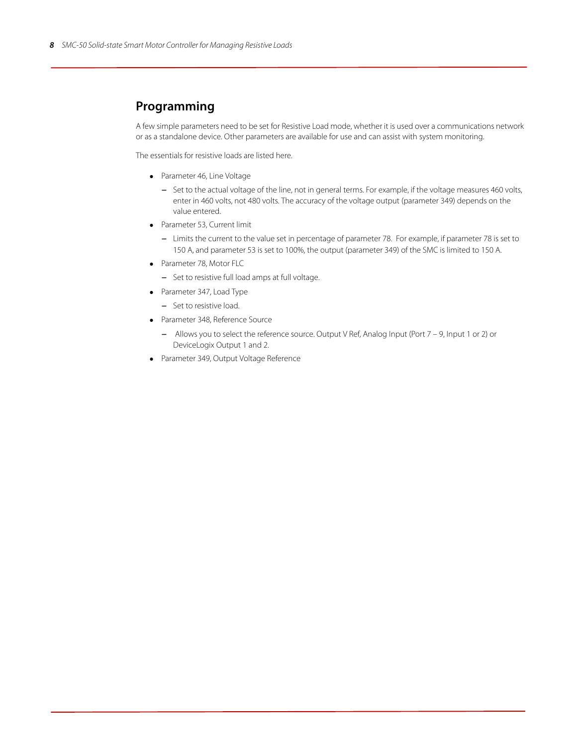## **Programming**

A few simple parameters need to be set for Resistive Load mode, whether it is used over a communications network or as a standalone device. Other parameters are available for use and can assist with system monitoring.

The essentials for resistive loads are listed here.

- Parameter 46, Line Voltage
	- Set to the actual voltage of the line, not in general terms. For example, if the voltage measures 460 volts, enter in 460 volts, not 480 volts. The accuracy of the voltage output (parameter 349) depends on the value entered.
- Parameter 53, Current limit
	- Limits the current to the value set in percentage of parameter 78. For example, if parameter 78 is set to 150 A, and parameter 53 is set to 100%, the output (parameter 349) of the SMC is limited to 150 A.
- Parameter 78, Motor FLC
	- Set to resistive full load amps at full voltage.
- Parameter 347, Load Type
	- Set to resistive load.
- Parameter 348, Reference Source
	- Allows you to select the reference source. Output V Ref, Analog Input (Port 7 9, Input 1 or 2) or DeviceLogix Output 1 and 2.
- Parameter 349, Output Voltage Reference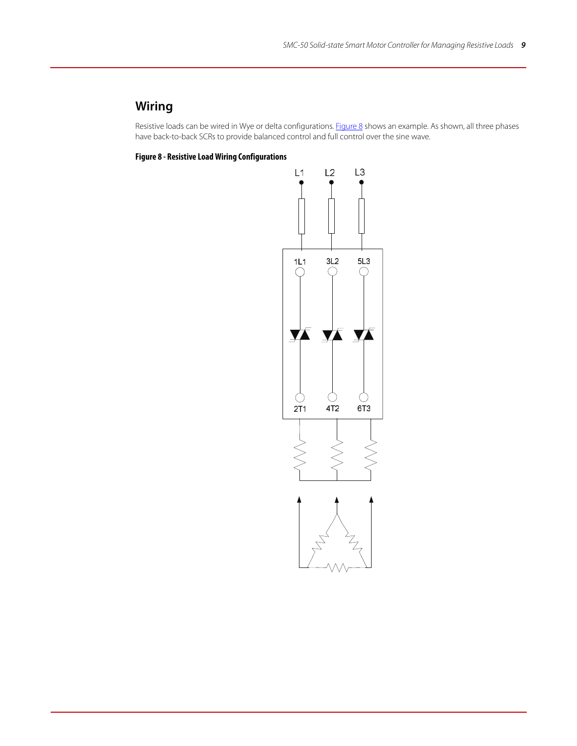# **Wiring**

Resistive loads can be wired in Wye or delta configurations. [Figure 8](#page-8-0) shows an example. As shown, all three phases have back-to-back SCRs to provide balanced control and full control over the sine wave.

<span id="page-8-0"></span>